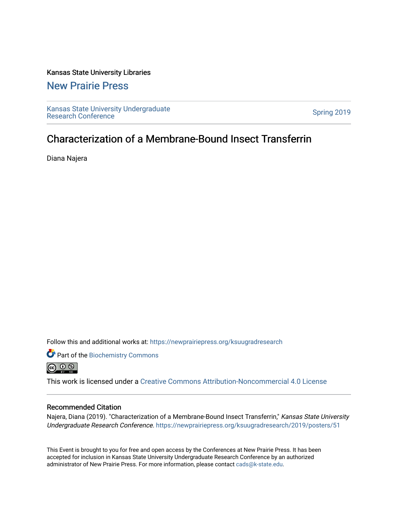#### Kansas State University Libraries

#### [New Prairie Press](https://newprairiepress.org/)

[Kansas State University Undergraduate](https://newprairiepress.org/ksuugradresearch)  Ransas State University Undergraduate<br>[Research Conference](https://newprairiepress.org/ksuugradresearch)

#### Characterization of a Membrane-Bound Insect Transferrin

Diana Najera

Follow this and additional works at: [https://newprairiepress.org/ksuugradresearch](https://newprairiepress.org/ksuugradresearch?utm_source=newprairiepress.org%2Fksuugradresearch%2F2019%2Fposters%2F51&utm_medium=PDF&utm_campaign=PDFCoverPages) 

Part of the [Biochemistry Commons](http://network.bepress.com/hgg/discipline/2?utm_source=newprairiepress.org%2Fksuugradresearch%2F2019%2Fposters%2F51&utm_medium=PDF&utm_campaign=PDFCoverPages)  

This work is licensed under a [Creative Commons Attribution-Noncommercial 4.0 License](https://creativecommons.org/licenses/by-nc/4.0/)

#### Recommended Citation

Najera, Diana (2019). "Characterization of a Membrane-Bound Insect Transferrin," Kansas State University Undergraduate Research Conference.<https://newprairiepress.org/ksuugradresearch/2019/posters/51>

This Event is brought to you for free and open access by the Conferences at New Prairie Press. It has been accepted for inclusion in Kansas State University Undergraduate Research Conference by an authorized administrator of New Prairie Press. For more information, please contact [cads@k-state.edu](mailto:cads@k-state.edu).